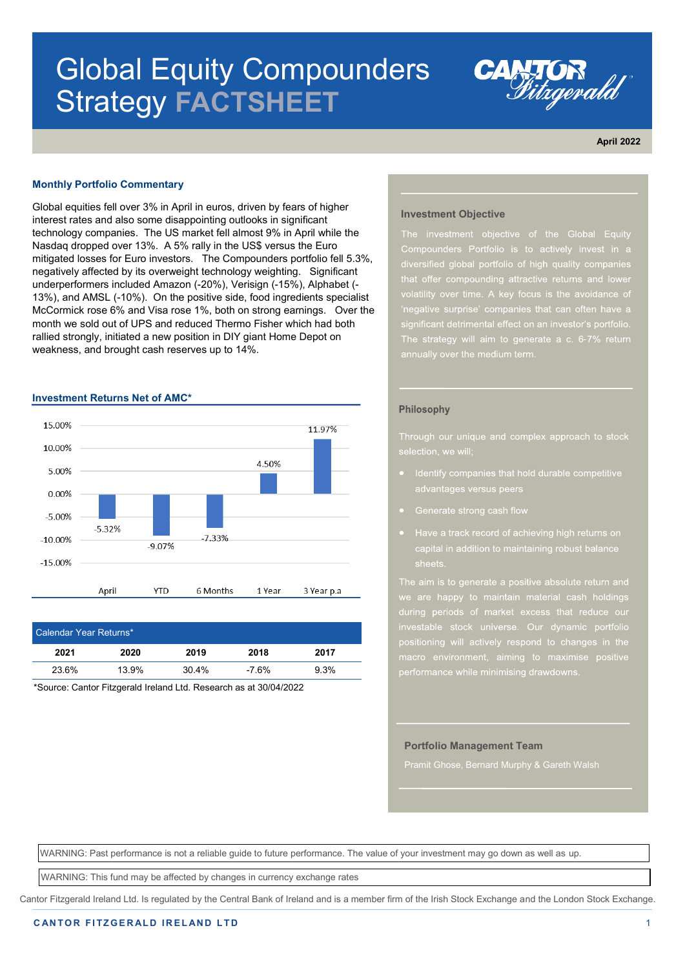# Global Equity Compounders Strategy **FACTSHEET**



**April 2022**

#### **Monthly Portfolio Commentary**

Global equities fell over 3% in April in euros, driven by fears of higher interest rates and also some disappointing outlooks in significant technology companies. The US market fell almost 9% in April while the Nasdaq dropped over 13%. A 5% rally in the US\$ versus the Euro mitigated losses for Euro investors. The Compounders portfolio fell 5.3%, negatively affected by its overweight technology weighting. Significant underperformers included Amazon (-20%), Verisign (-15%), Alphabet (- 13%), and AMSL (-10%). On the positive side, food ingredients specialist McCormick rose 6% and Visa rose 1%, both on strong earnings. Over the month we sold out of UPS and reduced Thermo Fisher which had both rallied strongly, initiated a new position in DIY giant Home Depot on weakness, and brought cash reserves up to 14%.

#### **Investment Returns Net of AMC\***



| Calendar Year Returns* |       |       |         |      |  |
|------------------------|-------|-------|---------|------|--|
| 2021                   | 2020  | 2019  | 2018    | 2017 |  |
| 23.6%                  | 13.9% | 30.4% | $-7.6%$ | 9.3% |  |

\*Source: Cantor Fitzgerald Ireland Ltd. Research as at 30/04/2022

#### **Investment Objective**

Compounders Portfolio is to actively invest in a

#### Philosophy

- Identify companies that hold durable competitive advantages versus peers
- 
- Have a track record of achieving high returns on

we are happy to maintain material cash holdings positioning will actively respond to changes in the

#### **Portfolio Management Team**

Pramit Ghose, Bernard Murphy & Gareth Walsh

WARNING: Past performance is not a reliable guide to future performance. The value of your investment may go down as well as up.

WARNING: This fund may be affected by changes in currency exchange rates

Cantor Fitzgerald Ireland Ltd. Is regulated by the Central Bank of Ireland and is a member firm of the Irish Stock Exchange and the London Stock Exchange.